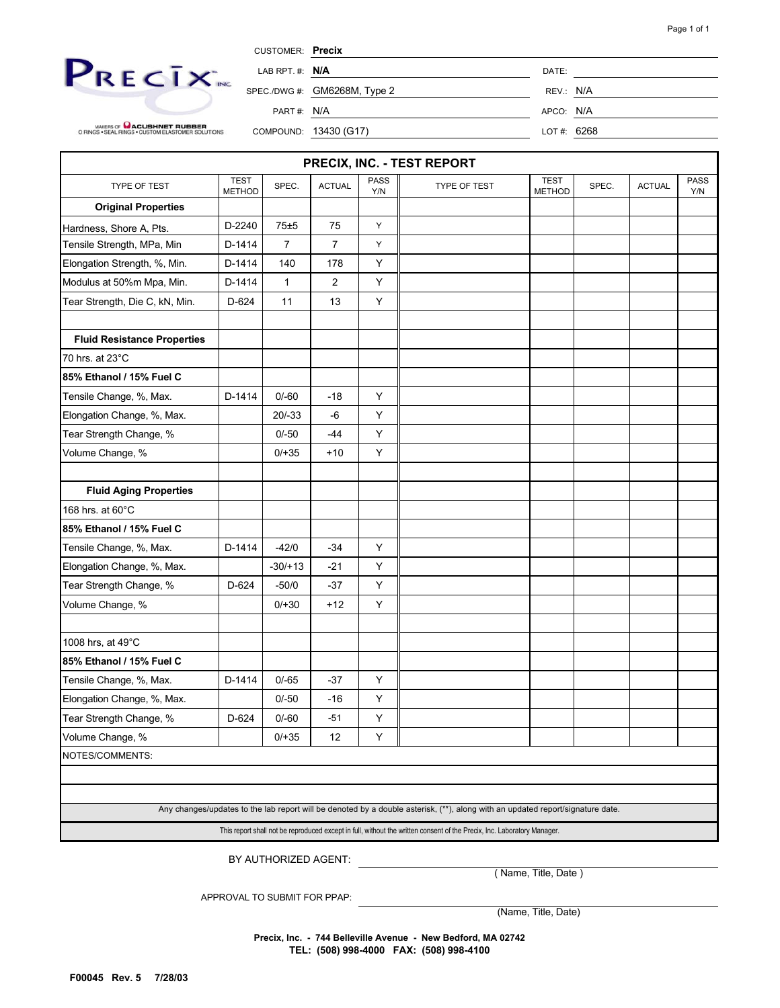

CUSTOMER: **Precix**

SPEC./DWG #: GM6268M, Type 2 REV.: N/A

APCO: N/A

MAKERS OF **COLORED ACTES**<br>O RINGS • SEAL RINGS • CUSTOM ELASTOMER SOLUTIONS

| PART #: | N/ |
|---------|----|
|         |    |

COMPOUND: 13430 (G17) LOT #: 6268

|                                    |                              |                      |               |                    | PRECIX, INC. - TEST REPORT                                                                                                     |                              |       |               |             |  |  |  |  |
|------------------------------------|------------------------------|----------------------|---------------|--------------------|--------------------------------------------------------------------------------------------------------------------------------|------------------------------|-------|---------------|-------------|--|--|--|--|
| TYPE OF TEST                       | <b>TEST</b><br><b>METHOD</b> | SPEC.                | <b>ACTUAL</b> | <b>PASS</b><br>Y/N | TYPE OF TEST                                                                                                                   | <b>TEST</b><br><b>METHOD</b> | SPEC. | <b>ACTUAL</b> | PASS<br>Y/N |  |  |  |  |
| <b>Original Properties</b>         |                              |                      |               |                    |                                                                                                                                |                              |       |               |             |  |  |  |  |
| Hardness, Shore A, Pts.            | D-2240                       | 75±5                 | 75            | Υ                  |                                                                                                                                |                              |       |               |             |  |  |  |  |
| Tensile Strength, MPa, Min         | D-1414                       | 7                    | 7             | Υ                  |                                                                                                                                |                              |       |               |             |  |  |  |  |
| Elongation Strength, %, Min.       | D-1414                       | 140                  | 178           | Υ                  |                                                                                                                                |                              |       |               |             |  |  |  |  |
| Modulus at 50%m Mpa, Min.          | D-1414                       | 1                    | 2             | Υ                  |                                                                                                                                |                              |       |               |             |  |  |  |  |
| Tear Strength, Die C, kN, Min.     | D-624                        | 11                   | 13            | Υ                  |                                                                                                                                |                              |       |               |             |  |  |  |  |
| <b>Fluid Resistance Properties</b> |                              |                      |               |                    |                                                                                                                                |                              |       |               |             |  |  |  |  |
| 70 hrs. at 23°C                    |                              |                      |               |                    |                                                                                                                                |                              |       |               |             |  |  |  |  |
| 85% Ethanol / 15% Fuel C           |                              |                      |               |                    |                                                                                                                                |                              |       |               |             |  |  |  |  |
| Tensile Change, %, Max.            | D-1414                       | $0/-60$              | -18           | Υ                  |                                                                                                                                |                              |       |               |             |  |  |  |  |
| Elongation Change, %, Max.         |                              | $20/-33$             | $-6$          | Υ                  |                                                                                                                                |                              |       |               |             |  |  |  |  |
| Tear Strength Change, %            |                              | $0/-50$              | $-44$         | Υ                  |                                                                                                                                |                              |       |               |             |  |  |  |  |
| Volume Change, %                   |                              | $0/+35$              | $+10$         | Y                  |                                                                                                                                |                              |       |               |             |  |  |  |  |
| <b>Fluid Aging Properties</b>      |                              |                      |               |                    |                                                                                                                                |                              |       |               |             |  |  |  |  |
| 168 hrs. at 60°C                   |                              |                      |               |                    |                                                                                                                                |                              |       |               |             |  |  |  |  |
| 85% Ethanol / 15% Fuel C           |                              |                      |               |                    |                                                                                                                                |                              |       |               |             |  |  |  |  |
| Tensile Change, %, Max.            | D-1414                       | $-42/0$              | $-34$         | Υ                  |                                                                                                                                |                              |       |               |             |  |  |  |  |
| Elongation Change, %, Max.         |                              | $-30/+13$            | $-21$         | Y                  |                                                                                                                                |                              |       |               |             |  |  |  |  |
| Tear Strength Change, %            | D-624                        | $-50/0$              | $-37$         | Y                  |                                                                                                                                |                              |       |               |             |  |  |  |  |
| Volume Change, %                   |                              | $0/+30$              | $+12$         | Y                  |                                                                                                                                |                              |       |               |             |  |  |  |  |
| 1008 hrs, at 49°C                  |                              |                      |               |                    |                                                                                                                                |                              |       |               |             |  |  |  |  |
| 85% Ethanol / 15% Fuel C           |                              |                      |               |                    |                                                                                                                                |                              |       |               |             |  |  |  |  |
| Tensile Change, %, Max.            | D-1414                       | $0/-65$              | -37           | Y                  |                                                                                                                                |                              |       |               |             |  |  |  |  |
| Elongation Change, %, Max.         |                              | $0/-50$              | -16           | Υ                  |                                                                                                                                |                              |       |               |             |  |  |  |  |
| Tear Strength Change, %            | D-624                        | $0/-60$              | $-51$         | Υ                  |                                                                                                                                |                              |       |               |             |  |  |  |  |
| Volume Change, %                   |                              | $0/+35$              | 12            | Υ                  |                                                                                                                                |                              |       |               |             |  |  |  |  |
| NOTES/COMMENTS:                    |                              |                      |               |                    |                                                                                                                                |                              |       |               |             |  |  |  |  |
|                                    |                              |                      |               |                    |                                                                                                                                |                              |       |               |             |  |  |  |  |
|                                    |                              |                      |               |                    |                                                                                                                                |                              |       |               |             |  |  |  |  |
|                                    |                              |                      |               |                    | Any changes/updates to the lab report will be denoted by a double asterisk, (**), along with an updated report/signature date. |                              |       |               |             |  |  |  |  |
|                                    |                              |                      |               |                    | This report shall not be reproduced except in full, without the written consent of the Precix, Inc. Laboratory Manager.        |                              |       |               |             |  |  |  |  |
|                                    |                              | BY AUTHORIZED AGENT: |               |                    |                                                                                                                                |                              |       |               |             |  |  |  |  |

( Name, Title, Date )

APPROVAL TO SUBMIT FOR PPAP:

(Name, Title, Date)

**Precix, Inc. - 744 Belleville Avenue - New Bedford, MA 02742 TEL: (508) 998-4000 FAX: (508) 998-4100**